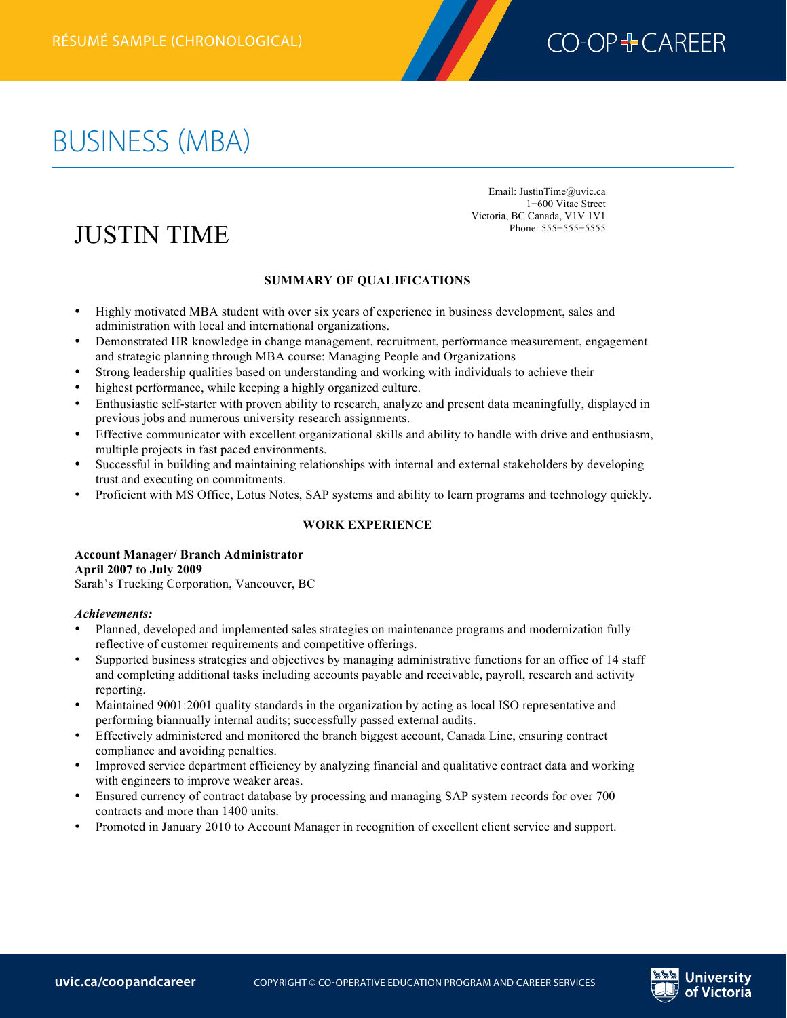

# BUSINESS (MBA)

JUSTIN TIME

Email: JustinTime@uvic.ca 1−600 Vitae Street Victoria, BC Canada, V1V 1V1 Phone: 555−555−5555

## **SUMMARY OF QUALIFICATIONS**

- Highly motivated MBA student with over six years of experience in business development, sales and administration with local and international organizations.
- Demonstrated HR knowledge in change management, recruitment, performance measurement, engagement and strategic planning through MBA course: Managing People and Organizations
- Strong leadership qualities based on understanding and working with individuals to achieve their
- highest performance, while keeping a highly organized culture.
- Enthusiastic self-starter with proven ability to research, analyze and present data meaningfully, displayed in previous jobs and numerous university research assignments.
- Effective communicator with excellent organizational skills and ability to handle with drive and enthusiasm, multiple projects in fast paced environments.
- Successful in building and maintaining relationships with internal and external stakeholders by developing trust and executing on commitments.
- Proficient with MS Office, Lotus Notes, SAP systems and ability to learn programs and technology quickly.

### **WORK EXPERIENCE**

#### **Account Manager/ Branch Administrator April 2007 to July 2009** Sarah's Trucking Corporation, Vancouver, BC

# *Achievements:*

- Planned, developed and implemented sales strategies on maintenance programs and modernization fully reflective of customer requirements and competitive offerings.
- Supported business strategies and objectives by managing administrative functions for an office of 14 staff and completing additional tasks including accounts payable and receivable, payroll, research and activity reporting.
- Maintained 9001:2001 quality standards in the organization by acting as local ISO representative and performing biannually internal audits; successfully passed external audits.
- Effectively administered and monitored the branch biggest account, Canada Line, ensuring contract compliance and avoiding penalties.
- Improved service department efficiency by analyzing financial and qualitative contract data and working with engineers to improve weaker areas.
- Ensured currency of contract database by processing and managing SAP system records for over 700 contracts and more than 1400 units.
- Promoted in January 2010 to Account Manager in recognition of excellent client service and support.